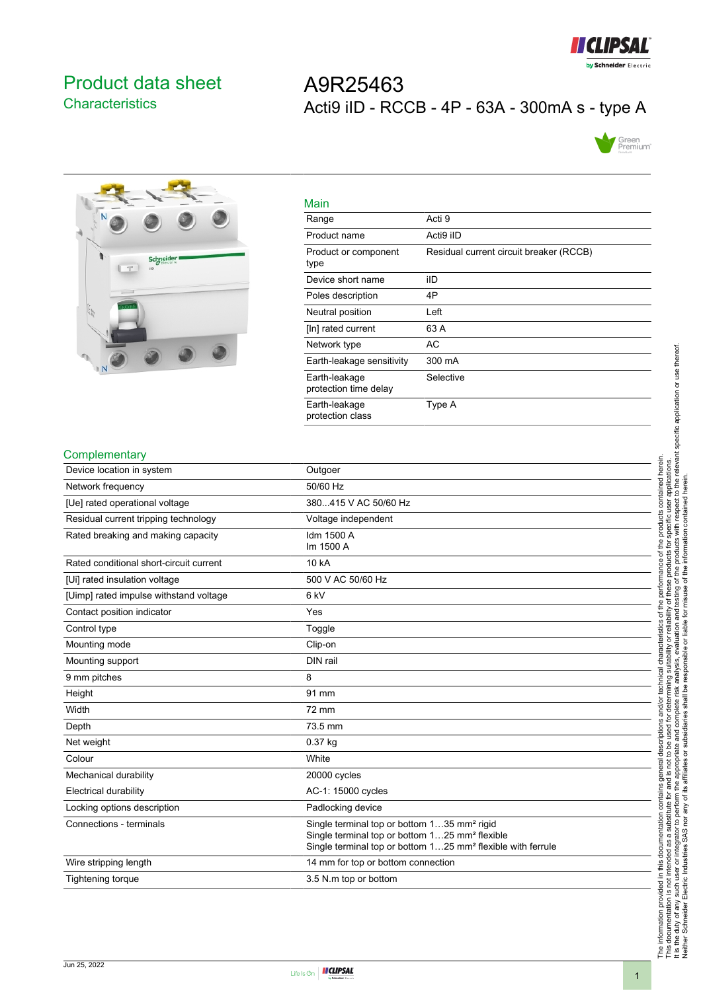

## <span id="page-0-0"></span>Product data sheet **Characteristics**

# A9R25463 Acti9 iID - RCCB - 4P - 63A - 300mA s - type A





| Main                                   |                                         |
|----------------------------------------|-----------------------------------------|
| Range                                  | Acti 9                                  |
| Product name                           | Acti9 iID                               |
| Product or component<br>type           | Residual current circuit breaker (RCCB) |
| Device short name                      | ilD                                     |
| Poles description                      | 4P                                      |
| Neutral position                       | Left                                    |
| [In] rated current                     | 63 A                                    |
| Network type                           | AC                                      |
| Earth-leakage sensitivity              | 300 mA                                  |
| Earth-leakage<br>protection time delay | Selective                               |
| Earth-leakage<br>protection class      | Type A                                  |

#### **Complementary**

| י יישוי יטו ייטו קו ייט                 |                                                                                                                                                                                                  |
|-----------------------------------------|--------------------------------------------------------------------------------------------------------------------------------------------------------------------------------------------------|
| Device location in system               | Outgoer                                                                                                                                                                                          |
| Network frequency                       | 50/60 Hz                                                                                                                                                                                         |
| [Ue] rated operational voltage          | 380415 V AC 50/60 Hz                                                                                                                                                                             |
| Residual current tripping technology    | Voltage independent                                                                                                                                                                              |
| Rated breaking and making capacity      | Idm 1500 A<br>Im 1500 A                                                                                                                                                                          |
| Rated conditional short-circuit current | 10 kA                                                                                                                                                                                            |
| [Ui] rated insulation voltage           | 500 V AC 50/60 Hz                                                                                                                                                                                |
| [Uimp] rated impulse withstand voltage  | 6 kV                                                                                                                                                                                             |
| Contact position indicator              | Yes                                                                                                                                                                                              |
| Control type                            | Toggle                                                                                                                                                                                           |
| Mounting mode                           | Clip-on                                                                                                                                                                                          |
| Mounting support                        | DIN rail                                                                                                                                                                                         |
| 9 mm pitches                            | 8                                                                                                                                                                                                |
| Height                                  | 91 mm                                                                                                                                                                                            |
| Width                                   | 72 mm                                                                                                                                                                                            |
| Depth                                   | 73.5 mm                                                                                                                                                                                          |
| Net weight                              | $0.37$ kg                                                                                                                                                                                        |
| Colour                                  | White                                                                                                                                                                                            |
| Mechanical durability                   | 20000 cycles                                                                                                                                                                                     |
| Electrical durability                   | AC-1: 15000 cycles                                                                                                                                                                               |
| Locking options description             | Padlocking device                                                                                                                                                                                |
| Connections - terminals                 | Single terminal top or bottom 135 mm <sup>2</sup> rigid<br>Single terminal top or bottom 125 mm <sup>2</sup> flexible<br>Single terminal top or bottom 125 mm <sup>2</sup> flexible with ferrule |
| Wire stripping length                   | 14 mm for top or bottom connection                                                                                                                                                               |
| <b>Tightening torque</b>                | 3.5 N m top or bottom                                                                                                                                                                            |
|                                         |                                                                                                                                                                                                  |